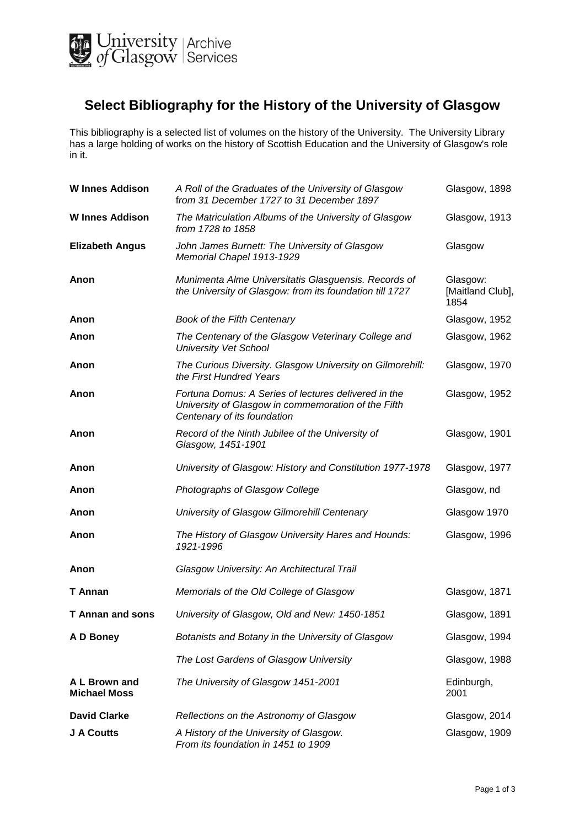

## **Select Bibliography for the History of the University of Glasgow**

This bibliography is a selected list of volumes on the history of the University. The University Library has a large holding of works on the history of Scottish Education and the University of Glasgow's role in it.

| <b>W</b> Innes Addison               | A Roll of the Graduates of the University of Glasgow<br>from 31 December 1727 to 31 December 1897                                          | Glasgow, 1898                        |
|--------------------------------------|--------------------------------------------------------------------------------------------------------------------------------------------|--------------------------------------|
| <b>W</b> Innes Addison               | The Matriculation Albums of the University of Glasgow<br>from 1728 to 1858                                                                 | Glasgow, 1913                        |
| <b>Elizabeth Angus</b>               | John James Burnett: The University of Glasgow<br>Memorial Chapel 1913-1929                                                                 | Glasgow                              |
| Anon                                 | Munimenta Alme Universitatis Glasguensis. Records of<br>the University of Glasgow: from its foundation till 1727                           | Glasgow:<br>[Maitland Club],<br>1854 |
| Anon                                 | Book of the Fifth Centenary                                                                                                                | Glasgow, 1952                        |
| Anon                                 | The Centenary of the Glasgow Veterinary College and<br><b>University Vet School</b>                                                        | Glasgow, 1962                        |
| Anon                                 | The Curious Diversity. Glasgow University on Gilmorehill:<br>the First Hundred Years                                                       | Glasgow, 1970                        |
| Anon                                 | Fortuna Domus: A Series of lectures delivered in the<br>University of Glasgow in commemoration of the Fifth<br>Centenary of its foundation | Glasgow, 1952                        |
| Anon                                 | Record of the Ninth Jubilee of the University of<br>Glasgow, 1451-1901                                                                     | Glasgow, 1901                        |
| Anon                                 | University of Glasgow: History and Constitution 1977-1978                                                                                  | Glasgow, 1977                        |
| Anon                                 | Photographs of Glasgow College                                                                                                             | Glasgow, nd                          |
| Anon                                 | University of Glasgow Gilmorehill Centenary                                                                                                | Glasgow 1970                         |
| Anon                                 | The History of Glasgow University Hares and Hounds:<br>1921-1996                                                                           | Glasgow, 1996                        |
| Anon                                 | Glasgow University: An Architectural Trail                                                                                                 |                                      |
| T Annan                              | Memorials of the Old College of Glasgow                                                                                                    | Glasgow, 1871                        |
| <b>T</b> Annan and sons              | University of Glasgow, Old and New: 1450-1851                                                                                              | Glasgow, 1891                        |
| A D Boney                            | Botanists and Botany in the University of Glasgow                                                                                          | Glasgow, 1994                        |
|                                      | The Lost Gardens of Glasgow University                                                                                                     | Glasgow, 1988                        |
| A L Brown and<br><b>Michael Moss</b> | The University of Glasgow 1451-2001                                                                                                        | Edinburgh,<br>2001                   |
| <b>David Clarke</b>                  | Reflections on the Astronomy of Glasgow                                                                                                    | Glasgow, 2014                        |
| J A Coutts                           | A History of the University of Glasgow.<br>From its foundation in 1451 to 1909                                                             | Glasgow, 1909                        |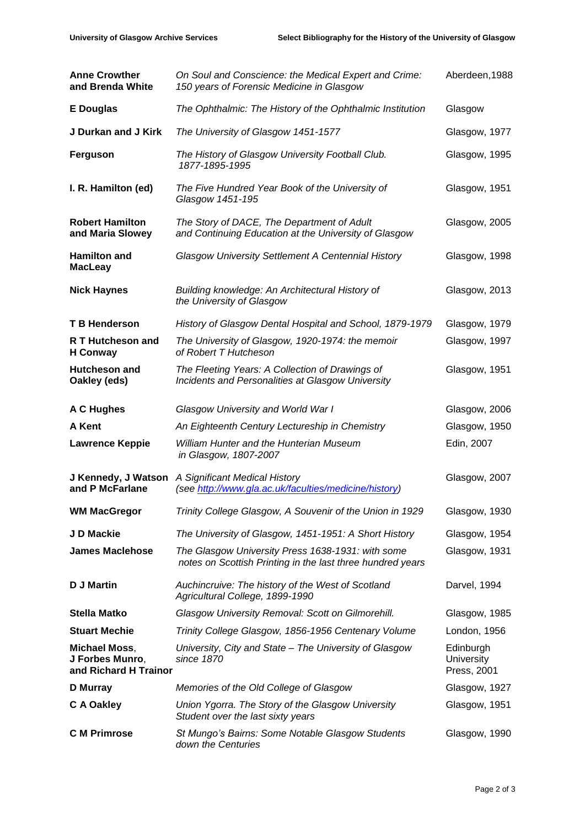| <b>Anne Crowther</b><br>and Brenda White                         | On Soul and Conscience: the Medical Expert and Crime:<br>150 years of Forensic Medicine in Glasgow              | Aberdeen, 1988                         |
|------------------------------------------------------------------|-----------------------------------------------------------------------------------------------------------------|----------------------------------------|
| <b>E</b> Douglas                                                 | The Ophthalmic: The History of the Ophthalmic Institution                                                       | Glasgow                                |
| J Durkan and J Kirk                                              | The University of Glasgow 1451-1577                                                                             | Glasgow, 1977                          |
| Ferguson                                                         | The History of Glasgow University Football Club.<br>1877-1895-1995                                              | Glasgow, 1995                          |
| I. R. Hamilton (ed)                                              | The Five Hundred Year Book of the University of<br>Glasgow 1451-195                                             | Glasgow, 1951                          |
| <b>Robert Hamilton</b><br>and Maria Slowey                       | The Story of DACE, The Department of Adult<br>and Continuing Education at the University of Glasgow             | Glasgow, 2005                          |
| <b>Hamilton and</b><br><b>MacLeay</b>                            | <b>Glasgow University Settlement A Centennial History</b>                                                       | Glasgow, 1998                          |
| <b>Nick Haynes</b>                                               | Building knowledge: An Architectural History of<br>the University of Glasgow                                    | Glasgow, 2013                          |
| <b>T B Henderson</b>                                             | History of Glasgow Dental Hospital and School, 1879-1979                                                        | Glasgow, 1979                          |
| R T Hutcheson and<br><b>H</b> Conway                             | The University of Glasgow, 1920-1974: the memoir<br>of Robert T Hutcheson                                       | Glasgow, 1997                          |
| <b>Hutcheson and</b><br>Oakley (eds)                             | The Fleeting Years: A Collection of Drawings of<br>Incidents and Personalities at Glasgow University            | Glasgow, 1951                          |
| A C Hughes                                                       | Glasgow University and World War I                                                                              | Glasgow, 2006                          |
| A Kent                                                           | An Eighteenth Century Lectureship in Chemistry                                                                  | Glasgow, 1950                          |
| <b>Lawrence Keppie</b>                                           | William Hunter and the Hunterian Museum<br>in Glasgow, 1807-2007                                                | Edin, 2007                             |
| J Kennedy, J Watson<br>and P McFarlane                           | A Significant Medical History<br>(see http://www.gla.ac.uk/faculties/medicine/history)                          | Glasgow, 2007                          |
| <b>WM MacGregor</b>                                              | Trinity College Glasgow, A Souvenir of the Union in 1929                                                        | Glasgow, 1930                          |
| J D Mackie                                                       | The University of Glasgow, 1451-1951: A Short History                                                           | Glasgow, 1954                          |
| <b>James Maclehose</b>                                           | The Glasgow University Press 1638-1931: with some<br>notes on Scottish Printing in the last three hundred years | Glasgow, 1931                          |
| <b>D J Martin</b>                                                | Auchincruive: The history of the West of Scotland<br>Agricultural College, 1899-1990                            | Darvel, 1994                           |
| <b>Stella Matko</b>                                              | Glasgow University Removal: Scott on Gilmorehill.                                                               | Glasgow, 1985                          |
| <b>Stuart Mechie</b>                                             | Trinity College Glasgow, 1856-1956 Centenary Volume                                                             | London, 1956                           |
| <b>Michael Moss,</b><br>J Forbes Munro,<br>and Richard H Trainor | University, City and State - The University of Glasgow<br>since 1870                                            | Edinburgh<br>University<br>Press, 2001 |
| D Murray                                                         | Memories of the Old College of Glasgow                                                                          | Glasgow, 1927                          |
| C A Oakley                                                       | Union Ygorra. The Story of the Glasgow University<br>Student over the last sixty years                          | Glasgow, 1951                          |
| <b>C</b> M Primrose                                              | St Mungo's Bairns: Some Notable Glasgow Students<br>down the Centuries                                          | Glasgow, 1990                          |